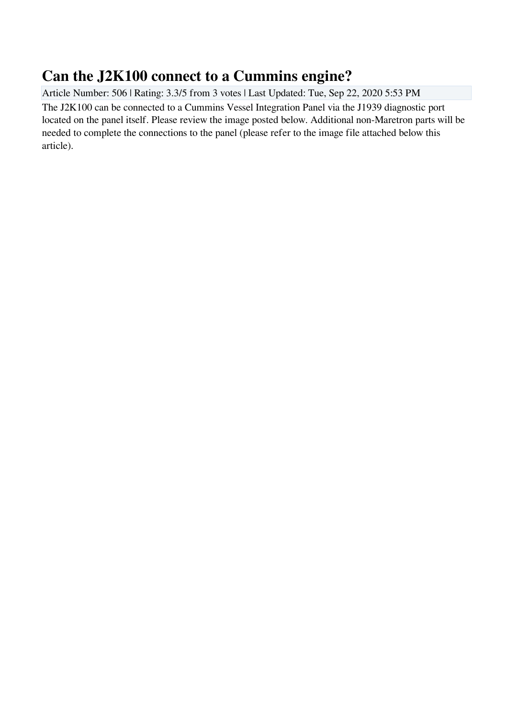## **Can the J2K100 connect to a Cummins engine?**

Article Number: 506 | Rating: 3.3/5 from 3 votes | Last Updated: Tue, Sep 22, 2020 5:53 PM The J2K100 can be connected to a Cummins Vessel Integration Panel via the J1939 diagnostic port located on the panel itself. Please review the image posted below. Additional non-Maretron parts will be needed to complete the connections to the panel (please refer to the image file attached below this article).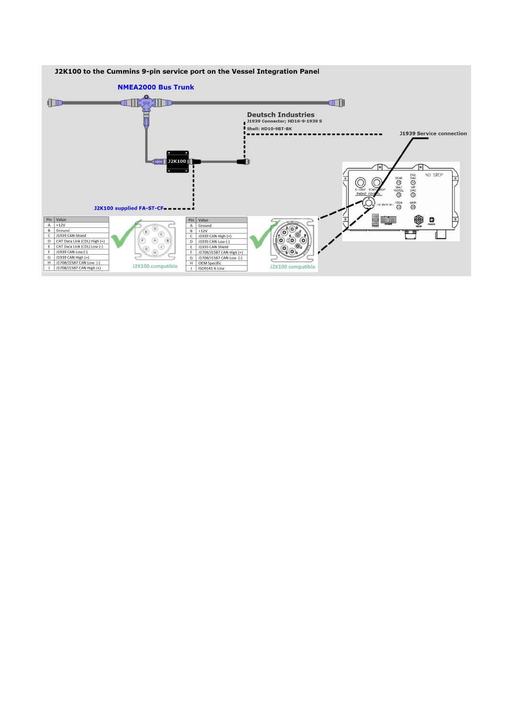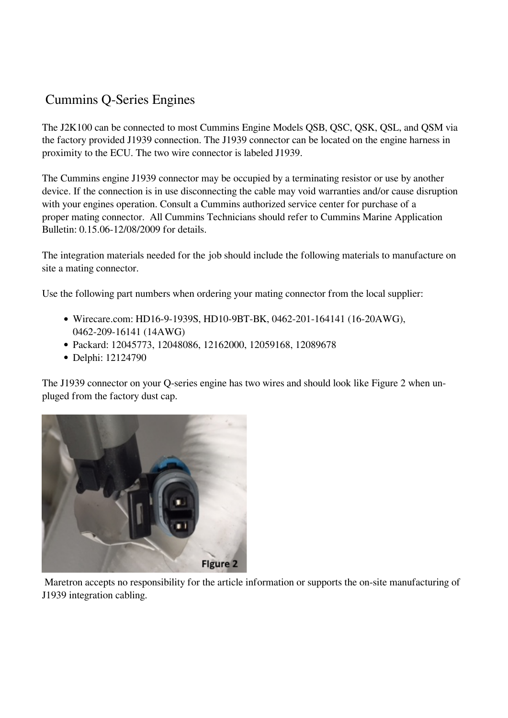## Cummins Q-Series Engines

The J2K100 can be connected to most Cummins Engine Models QSB, QSC, QSK, QSL, and QSM via the factory provided J1939 connection. The J1939 connector can be located on the engine harness in proximity to the ECU. The two wire connector is labeled J1939.

The Cummins engine J1939 connector may be occupied by a terminating resistor or use by another device. If the connection is in use disconnecting the cable may void warranties and/or cause disruption with your engines operation. Consult a Cummins authorized service center for purchase of a proper mating connector. All Cummins Technicians should refer to Cummins Marine Application Bulletin: 0.15.06-12/08/2009 for details.

The integration materials needed for the job should include the following materials to manufacture on site a mating connector.

Use the following part numbers when ordering your mating connector from the local supplier:

- Wirecare.com: HD16-9-1939S, HD10-9BT-BK, 0462-201-164141 (16-20AWG), 0462-209-16141 (14AWG)
- Packard: 12045773, 12048086, 12162000, 12059168, 12089678
- Delphi: 12124790

The J1939 connector on your Q-series engine has two wires and should look like Figure 2 when unpluged from the factory dust cap.



 Maretron accepts no responsibility for the article information or supports the on-site manufacturing of J1939 integration cabling.